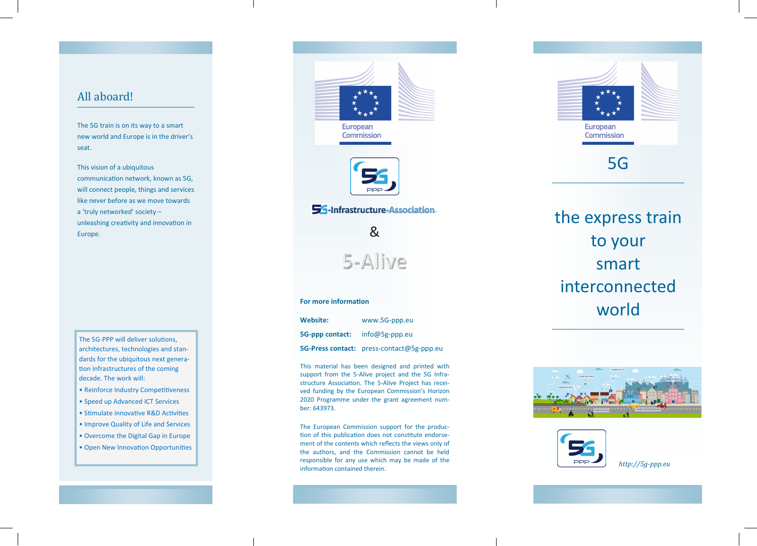## All aboard! All aboard! All aboard!

The 5G train is on its way to a smart The 5G train is on its way to a smart The 5G train is on its way to a smart new world and Europe is in the driver's new world and Europe is in the driver's new world and Europe is in the driver's seat.

This vision of a ubiquitous This vision of a ubiquitous This vision of a ubiquitous communication network, known as 5G, communication network, known as 5G, communication network, known as 5G, will connect people, things and services will connect people, things and services will connect people, things and services like never before as we move towards like never before as we move towards like never before as we move towards a 'truly networked' society – a 'truly networked' society – a 'truly networked' society – unleashing creativity and innovation in unleashing creativity and innovation in unleashing creativity and innovation in Europe. Europe.

The 5G-PPP will deliver solutions, The 5G-PPP will deliver solutions, The 5G-PPP will deliver solutions, architectures, technologies and stan-architectures, technologies and stan-architectures, technologies and standards for the ubiquitous next genera-dards for the ubiquitous next genera-dards for the ubiquitous next generation infrastructures of the coming tion infrastructures of the coming tion infrastructures of the coming decade. The work will: decade. The work will: decade. The work will:

- Reinforce Industry Competitiveness Reinforce Industry Competitiveness Reinforce Industry Competitiveness
- Speed up Advanced ICT Services Speed up Advanced ICT Services Speed up Advanced ICT Services
- Stimulate innovative R&D Activities Stimulate innovative R&D Activities Stimulate innovative R&D Activities
- Improve Quality of Life and Services Improve Quality of Life and Services Improve Quality of Life and Services
- Overcome the Digital Gap in Europe Overcome the Digital Gap in Europe Overcome the Digital Gap in Europe
- Open New Innovation Opportunities Open New Innovation Opportunities Open New Innovation Opportunities





### 54-Infrastructure-Association

&

5-Alive

### **For more information For more information For more information**

**Website:** www.5G-ppp.eu **Website:** www.5G-ppp.eu **Website:** www.5G-ppp.eu **5G-ppp contact:** info@5g-ppp.eu **5G-ppp contact:** info@5g-ppp.eu **5G-Press contact:** press-contact@5g-ppp.eu **5G-Press contact:** press-contact@5g-ppp.eu **5G-Press contact:** press-contact@5g-ppp.eu **5G-ppp contact:** 

This material has been designed and printed with This material has been designed and printed with This material has been designed and printed with support from the 5-Alive project and the 5G Infra-support from the 5-Alive project and the 5G Infra-support from the 5-Alive project and the 5G Infrastructure Association. The 5-Alive Project has recei-structure Association. The 5-Alive Project has recei-structure Association. The 5-Alive Project has received funding by the European Commission's Horizon ved funding by the European Commission's Horizon ved funding by the European Commission's Horizon 2020 Programme under the grant agreement num-2020 Programme under the grant agreement num-2020 Programme under the grant agreement number: 643973. ber: 643973. ber: 643973.

The European Commission support for the produc-The European Commission support for the produc-The European Commission support for the production of this publication does not constitute endorse-tion of this publication does not constitute endorse-tion of this publication does not constitute endorsement of the contents which reflects the views only of ment of the contents which reflects the views only of ment of the contents which reflects the views only of the authors, and the Commission cannot be held the authors, and the Commission cannot be held the authors, and the Commission cannot be held responsible for any use which may be made of the responsible for any use which may be made of the responsible for any use which may be made of the information contained therein. information contained therein. information contained therein.



# the express train the express train the express train to your to your to your smart smart smart interconnected interconnected interconnected world world world





*http://5g-ppp.eu http://5g-ppp.eu http://5g-ppp.eu*